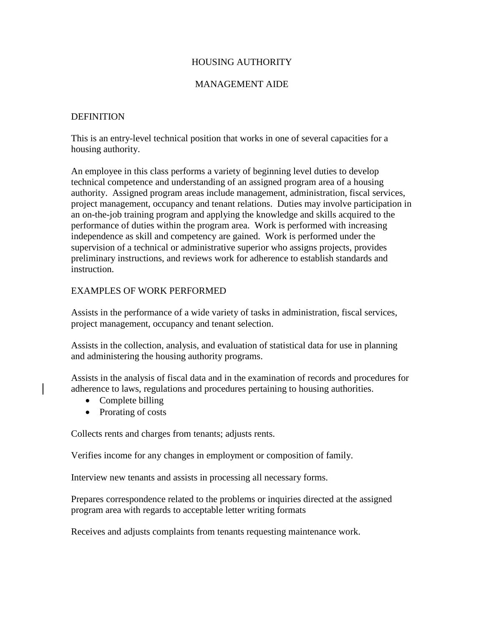## HOUSING AUTHORITY

## MANAGEMENT AIDE

### **DEFINITION**

This is an entry-level technical position that works in one of several capacities for a housing authority.

An employee in this class performs a variety of beginning level duties to develop technical competence and understanding of an assigned program area of a housing authority. Assigned program areas include management, administration, fiscal services, project management, occupancy and tenant relations. Duties may involve participation in an on-the-job training program and applying the knowledge and skills acquired to the performance of duties within the program area. Work is performed with increasing independence as skill and competency are gained. Work is performed under the supervision of a technical or administrative superior who assigns projects, provides preliminary instructions, and reviews work for adherence to establish standards and instruction.

## EXAMPLES OF WORK PERFORMED

Assists in the performance of a wide variety of tasks in administration, fiscal services, project management, occupancy and tenant selection.

Assists in the collection, analysis, and evaluation of statistical data for use in planning and administering the housing authority programs.

Assists in the analysis of fiscal data and in the examination of records and procedures for adherence to laws, regulations and procedures pertaining to housing authorities.

- Complete billing
- Prorating of costs

Collects rents and charges from tenants; adjusts rents.

Verifies income for any changes in employment or composition of family.

Interview new tenants and assists in processing all necessary forms.

Prepares correspondence related to the problems or inquiries directed at the assigned program area with regards to acceptable letter writing formats

Receives and adjusts complaints from tenants requesting maintenance work.